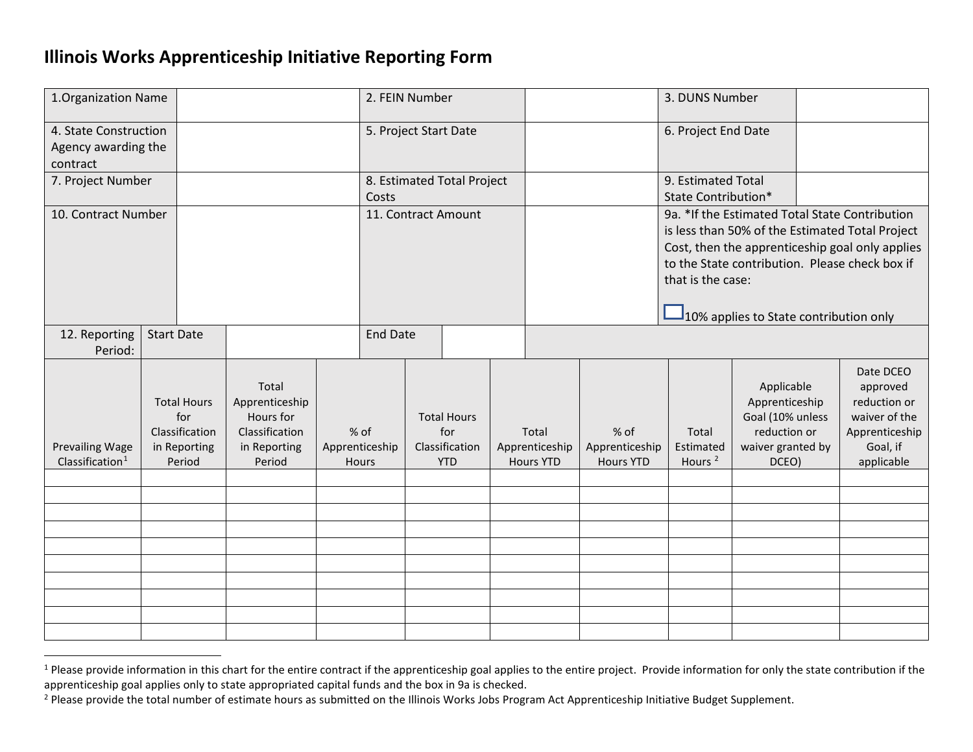## <span id="page-0-1"></span><span id="page-0-0"></span>**Illinois Works Apprenticeship Initiative Reporting Form**

| 1. Organization Name                                     |                   |                                                                       |                                                                                  |                                     | 2. FEIN Number        |                                                           |  |                                             |  |                                            | 3. DUNS Number                                                                                                                                                                                                                                                                       |                                                                                                |  |                                                                                                    |
|----------------------------------------------------------|-------------------|-----------------------------------------------------------------------|----------------------------------------------------------------------------------|-------------------------------------|-----------------------|-----------------------------------------------------------|--|---------------------------------------------|--|--------------------------------------------|--------------------------------------------------------------------------------------------------------------------------------------------------------------------------------------------------------------------------------------------------------------------------------------|------------------------------------------------------------------------------------------------|--|----------------------------------------------------------------------------------------------------|
| 4. State Construction<br>Agency awarding the<br>contract |                   |                                                                       |                                                                                  |                                     | 5. Project Start Date |                                                           |  |                                             |  | 6. Project End Date                        |                                                                                                                                                                                                                                                                                      |                                                                                                |  |                                                                                                    |
| 7. Project Number                                        |                   |                                                                       |                                                                                  | 8. Estimated Total Project<br>Costs |                       |                                                           |  |                                             |  | 9. Estimated Total<br>State Contribution*  |                                                                                                                                                                                                                                                                                      |                                                                                                |  |                                                                                                    |
| 10. Contract Number                                      |                   |                                                                       |                                                                                  |                                     | 11. Contract Amount   |                                                           |  |                                             |  |                                            | 9a. * If the Estimated Total State Contribution<br>is less than 50% of the Estimated Total Project<br>Cost, then the apprenticeship goal only applies<br>to the State contribution. Please check box if<br>that is the case:<br>$\frac{1}{2}$ 10% applies to State contribution only |                                                                                                |  |                                                                                                    |
| 12. Reporting<br>Period:                                 | <b>Start Date</b> |                                                                       |                                                                                  | <b>End Date</b>                     |                       |                                                           |  |                                             |  |                                            |                                                                                                                                                                                                                                                                                      |                                                                                                |  |                                                                                                    |
| <b>Prevailing Wage</b><br>Classification <sup>1</sup>    |                   | <b>Total Hours</b><br>for<br>Classification<br>in Reporting<br>Period | Total<br>Apprenticeship<br>Hours for<br>Classification<br>in Reporting<br>Period | % of<br>Apprenticeship<br>Hours     |                       | <b>Total Hours</b><br>for<br>Classification<br><b>YTD</b> |  | Total<br>Apprenticeship<br><b>Hours YTD</b> |  | % of<br>Apprenticeship<br><b>Hours YTD</b> | Total<br>Estimated<br>Hours <sup>2</sup>                                                                                                                                                                                                                                             | Applicable<br>Apprenticeship<br>Goal (10% unless<br>reduction or<br>waiver granted by<br>DCEO) |  | Date DCEO<br>approved<br>reduction or<br>waiver of the<br>Apprenticeship<br>Goal, if<br>applicable |
|                                                          |                   |                                                                       |                                                                                  |                                     |                       |                                                           |  |                                             |  |                                            |                                                                                                                                                                                                                                                                                      |                                                                                                |  |                                                                                                    |
|                                                          |                   |                                                                       |                                                                                  |                                     |                       |                                                           |  |                                             |  |                                            |                                                                                                                                                                                                                                                                                      |                                                                                                |  |                                                                                                    |
|                                                          |                   |                                                                       |                                                                                  |                                     |                       |                                                           |  |                                             |  |                                            |                                                                                                                                                                                                                                                                                      |                                                                                                |  |                                                                                                    |
|                                                          |                   |                                                                       |                                                                                  |                                     |                       |                                                           |  |                                             |  |                                            |                                                                                                                                                                                                                                                                                      |                                                                                                |  |                                                                                                    |
|                                                          |                   |                                                                       |                                                                                  |                                     |                       |                                                           |  |                                             |  |                                            |                                                                                                                                                                                                                                                                                      |                                                                                                |  |                                                                                                    |
|                                                          |                   |                                                                       |                                                                                  |                                     |                       |                                                           |  |                                             |  |                                            |                                                                                                                                                                                                                                                                                      |                                                                                                |  |                                                                                                    |

<sup>&</sup>lt;sup>1</sup> Please provide information in this chart for the entire contract if the apprenticeship goal applies to the entire project. Provide information for only the state contribution if the apprenticeship goal applies only to state appropriated capital funds and the box in 9a is checked.

<sup>&</sup>lt;sup>2</sup> Please provide the total number of estimate hours as submitted on the Illinois Works Jobs Program Act Apprenticeship Initiative Budget Supplement.